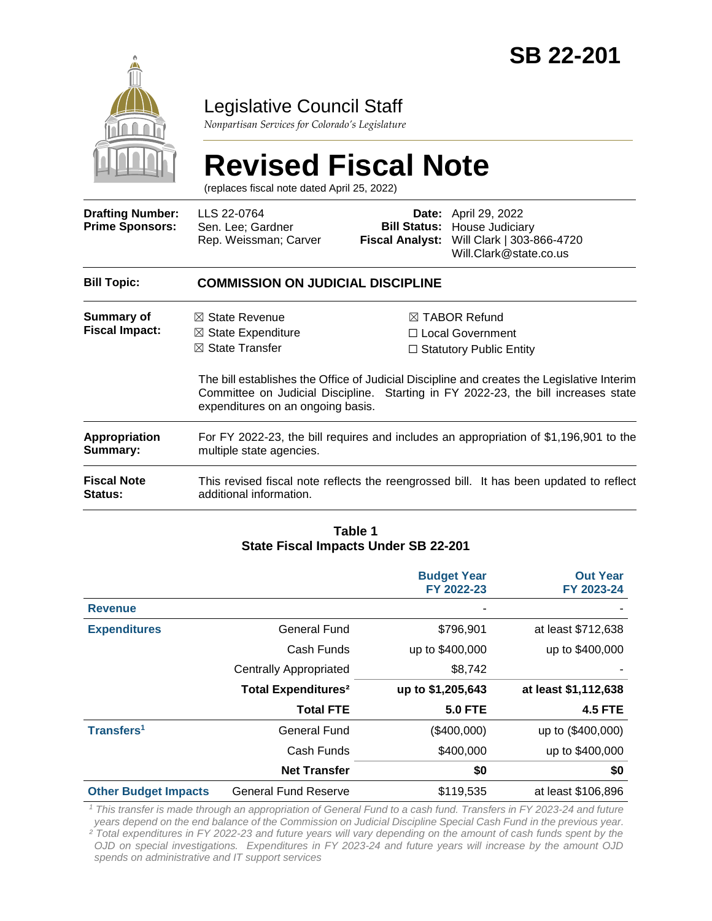

### Legislative Council Staff

*Nonpartisan Services for Colorado's Legislature*

# **Revised Fiscal Note**

(replaces fiscal note dated April 25, 2022)

| <b>Drafting Number:</b><br><b>Prime Sponsors:</b> | LLS 22-0764<br>Sen. Lee; Gardner<br>Rep. Weissman; Carver                                                                     |  | <b>Date:</b> April 29, 2022<br><b>Bill Status: House Judiciary</b><br>Fiscal Analyst: Will Clark   303-866-4720<br>Will.Clark@state.co.us                                                                                                                                 |  |  |
|---------------------------------------------------|-------------------------------------------------------------------------------------------------------------------------------|--|---------------------------------------------------------------------------------------------------------------------------------------------------------------------------------------------------------------------------------------------------------------------------|--|--|
| <b>Bill Topic:</b>                                | <b>COMMISSION ON JUDICIAL DISCIPLINE</b>                                                                                      |  |                                                                                                                                                                                                                                                                           |  |  |
| Summary of<br><b>Fiscal Impact:</b>               | $\boxtimes$ State Revenue<br>$\boxtimes$ State Expenditure<br>$\boxtimes$ State Transfer<br>expenditures on an ongoing basis. |  | $\boxtimes$ TABOR Refund<br>$\Box$ Local Government<br>$\Box$ Statutory Public Entity<br>The bill establishes the Office of Judicial Discipline and creates the Legislative Interim<br>Committee on Judicial Discipline. Starting in FY 2022-23, the bill increases state |  |  |
| <b>Appropriation</b><br>Summary:                  | For FY 2022-23, the bill requires and includes an appropriation of \$1,196,901 to the<br>multiple state agencies.             |  |                                                                                                                                                                                                                                                                           |  |  |
| <b>Fiscal Note</b><br>Status:                     | additional information.                                                                                                       |  | This revised fiscal note reflects the reengrossed bill. It has been updated to reflect                                                                                                                                                                                    |  |  |

#### **Table 1 State Fiscal Impacts Under SB 22-201**

|                             |                                       | <b>Budget Year</b><br>FY 2022-23 | <b>Out Year</b><br>FY 2023-24 |
|-----------------------------|---------------------------------------|----------------------------------|-------------------------------|
| <b>Revenue</b>              |                                       |                                  |                               |
| <b>Expenditures</b>         | <b>General Fund</b>                   | \$796,901                        | at least \$712,638            |
|                             | Cash Funds                            | up to \$400,000                  | up to \$400,000               |
|                             | <b>Centrally Appropriated</b>         | \$8,742                          |                               |
|                             | <b>Total Expenditures<sup>2</sup></b> | up to \$1,205,643                | at least \$1,112,638          |
|                             | <b>Total FTE</b>                      | <b>5.0 FTE</b>                   | <b>4.5 FTE</b>                |
| Transfers <sup>1</sup>      | General Fund                          | (\$400,000)                      | up to (\$400,000)             |
|                             | Cash Funds                            | \$400,000                        | up to \$400,000               |
|                             | <b>Net Transfer</b>                   | \$0                              | \$0                           |
| <b>Other Budget Impacts</b> | <b>General Fund Reserve</b>           | \$119,535                        | at least \$106,896            |

*<sup>1</sup> This transfer is made through an appropriation of General Fund to a cash fund. Transfers in FY 2023-24 and future years depend on the end balance of the Commission on Judicial Discipline Special Cash Fund in the previous year.*

*² Total expenditures in FY 2022-23 and future years will vary depending on the amount of cash funds spent by the OJD on special investigations. Expenditures in FY 2023-24 and future years will increase by the amount OJD spends on administrative and IT support services*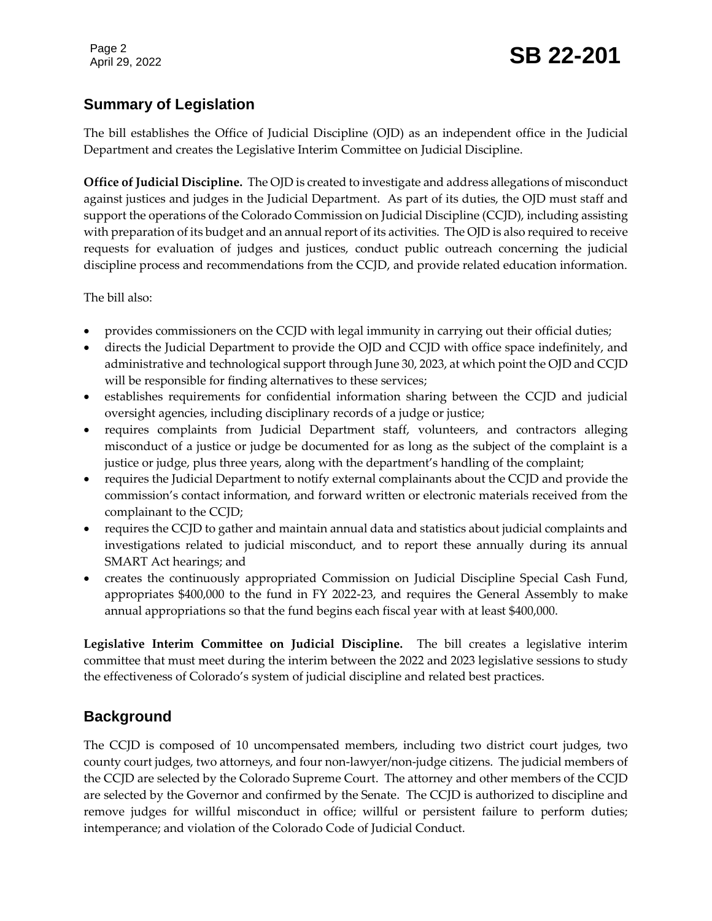#### **Summary of Legislation**

The bill establishes the Office of Judicial Discipline (OJD) as an independent office in the Judicial Department and creates the Legislative Interim Committee on Judicial Discipline.

**Office of Judicial Discipline.** The OJD is created to investigate and address allegations of misconduct against justices and judges in the Judicial Department. As part of its duties, the OJD must staff and support the operations of the Colorado Commission on Judicial Discipline (CCJD), including assisting with preparation of its budget and an annual report of its activities. The OJD is also required to receive requests for evaluation of judges and justices, conduct public outreach concerning the judicial discipline process and recommendations from the CCJD, and provide related education information.

The bill also:

- provides commissioners on the CCJD with legal immunity in carrying out their official duties;
- directs the Judicial Department to provide the OJD and CCJD with office space indefinitely, and administrative and technological support through June 30, 2023, at which point the OJD and CCJD will be responsible for finding alternatives to these services;
- establishes requirements for confidential information sharing between the CCJD and judicial oversight agencies, including disciplinary records of a judge or justice;
- requires complaints from Judicial Department staff, volunteers, and contractors alleging misconduct of a justice or judge be documented for as long as the subject of the complaint is a justice or judge, plus three years, along with the department's handling of the complaint;
- requires the Judicial Department to notify external complainants about the CCJD and provide the commission's contact information, and forward written or electronic materials received from the complainant to the CCJD;
- requires the CCJD to gather and maintain annual data and statistics about judicial complaints and investigations related to judicial misconduct, and to report these annually during its annual SMART Act hearings; and
- creates the continuously appropriated Commission on Judicial Discipline Special Cash Fund, appropriates \$400,000 to the fund in FY 2022-23, and requires the General Assembly to make annual appropriations so that the fund begins each fiscal year with at least \$400,000.

**Legislative Interim Committee on Judicial Discipline.** The bill creates a legislative interim committee that must meet during the interim between the 2022 and 2023 legislative sessions to study the effectiveness of Colorado's system of judicial discipline and related best practices.

#### **Background**

The CCJD is composed of 10 uncompensated members, including two district court judges, two county court judges, two attorneys, and four non-lawyer/non-judge citizens. The judicial members of the CCJD are selected by the Colorado Supreme Court. The attorney and other members of the CCJD are selected by the Governor and confirmed by the Senate. The CCJD is authorized to discipline and remove judges for willful misconduct in office; willful or persistent failure to perform duties; intemperance; and violation of the Colorado Code of Judicial Conduct.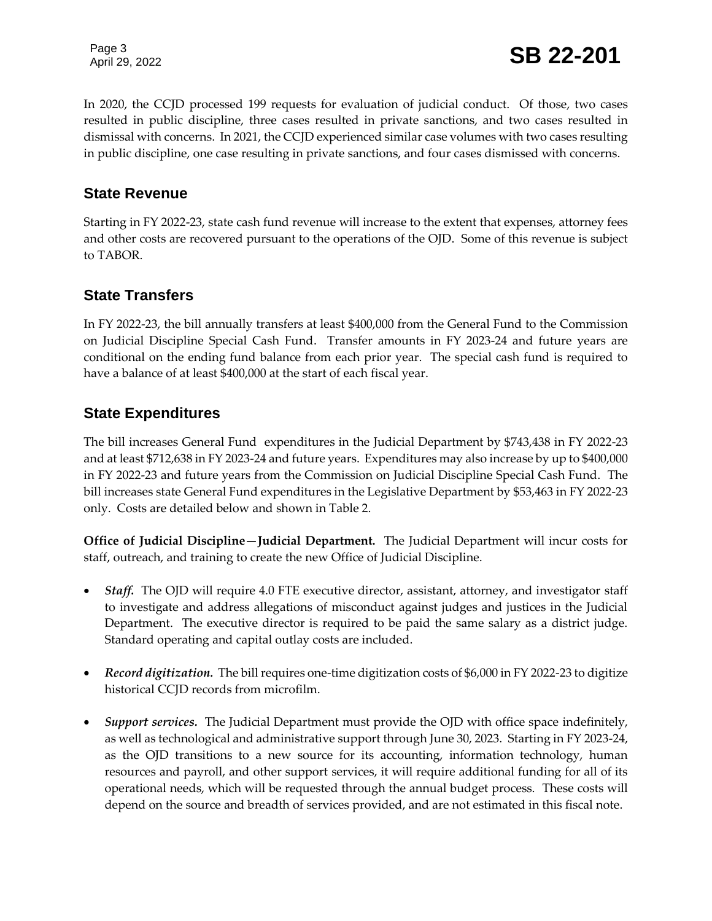Page 3

Page 3<br>April 29, 2022 **SB 22-201** 

In 2020, the CCJD processed 199 requests for evaluation of judicial conduct. Of those, two cases resulted in public discipline, three cases resulted in private sanctions, and two cases resulted in dismissal with concerns. In 2021, the CCJD experienced similar case volumes with two cases resulting in public discipline, one case resulting in private sanctions, and four cases dismissed with concerns.

#### **State Revenue**

Starting in FY 2022-23, state cash fund revenue will increase to the extent that expenses, attorney fees and other costs are recovered pursuant to the operations of the OJD. Some of this revenue is subject to TABOR.

#### **State Transfers**

In FY 2022-23, the bill annually transfers at least \$400,000 from the General Fund to the Commission on Judicial Discipline Special Cash Fund. Transfer amounts in FY 2023-24 and future years are conditional on the ending fund balance from each prior year. The special cash fund is required to have a balance of at least \$400,000 at the start of each fiscal year.

#### **State Expenditures**

The bill increases General Fund expenditures in the Judicial Department by \$743,438 in FY 2022-23 and at least \$712,638 in FY 2023-24 and future years. Expenditures may also increase by up to \$400,000 in FY 2022-23 and future years from the Commission on Judicial Discipline Special Cash Fund. The bill increases state General Fund expenditures in the Legislative Department by \$53,463 in FY 2022-23 only. Costs are detailed below and shown in Table 2.

**Office of Judicial Discipline—Judicial Department.** The Judicial Department will incur costs for staff, outreach, and training to create the new Office of Judicial Discipline.

- Staff. The OJD will require 4.0 FTE executive director, assistant, attorney, and investigator staff to investigate and address allegations of misconduct against judges and justices in the Judicial Department. The executive director is required to be paid the same salary as a district judge. Standard operating and capital outlay costs are included.
- *Record digitization.*The bill requires one-time digitization costs of \$6,000 in FY 2022-23 to digitize historical CCJD records from microfilm.
- *Support services.*The Judicial Department must provide the OJD with office space indefinitely, as well as technological and administrative support through June 30, 2023. Starting in FY 2023-24, as the OJD transitions to a new source for its accounting, information technology, human resources and payroll, and other support services, it will require additional funding for all of its operational needs, which will be requested through the annual budget process. These costs will depend on the source and breadth of services provided, and are not estimated in this fiscal note.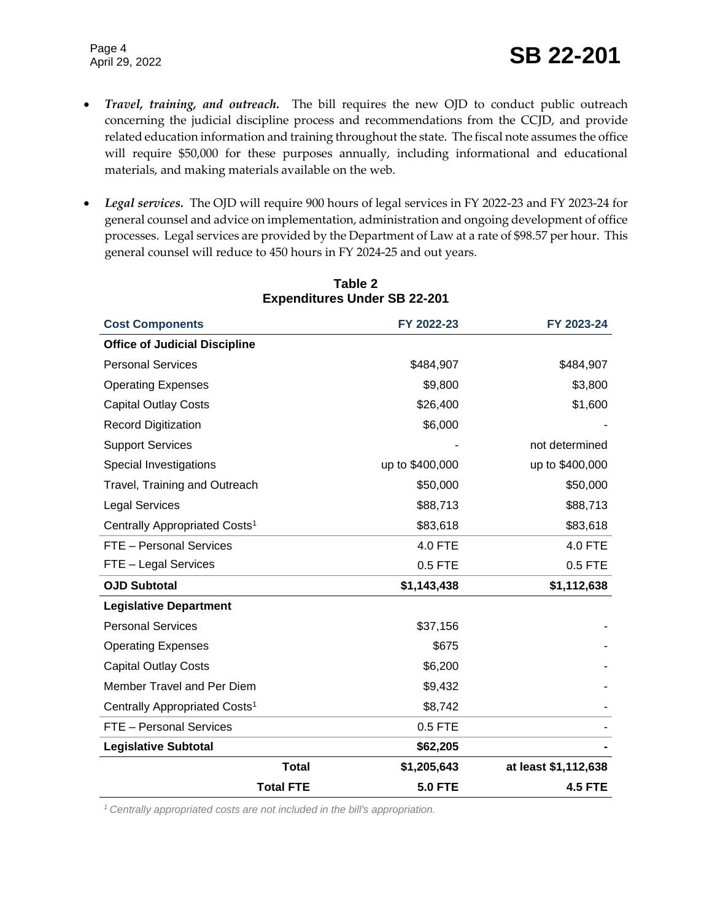- *Travel, training, and outreach.* The bill requires the new OJD to conduct public outreach concerning the judicial discipline process and recommendations from the CCJD, and provide related education information and training throughout the state. The fiscal note assumes the office will require \$50,000 for these purposes annually, including informational and educational materials, and making materials available on the web.
- *Legal services.* The OJD will require 900 hours of legal services in FY 2022-23 and FY 2023-24 for general counsel and advice on implementation, administration and ongoing development of office processes. Legal services are provided by the Department of Law at a rate of \$98.57 per hour. This general counsel will reduce to 450 hours in FY 2024-25 and out years.

| <b>Cost Components</b>                    |                  | FY 2022-23      | FY 2023-24           |
|-------------------------------------------|------------------|-----------------|----------------------|
| <b>Office of Judicial Discipline</b>      |                  |                 |                      |
| <b>Personal Services</b>                  |                  | \$484,907       | \$484,907            |
| <b>Operating Expenses</b>                 |                  | \$9,800         | \$3,800              |
| <b>Capital Outlay Costs</b>               |                  | \$26,400        | \$1,600              |
| <b>Record Digitization</b>                |                  | \$6,000         |                      |
| <b>Support Services</b>                   |                  |                 | not determined       |
| Special Investigations                    |                  | up to \$400,000 | up to \$400,000      |
| Travel, Training and Outreach             |                  | \$50,000        | \$50,000             |
| <b>Legal Services</b>                     |                  | \$88,713        | \$88,713             |
| Centrally Appropriated Costs <sup>1</sup> |                  | \$83,618        | \$83,618             |
| FTE - Personal Services                   |                  | 4.0 FTE         | 4.0 FTE              |
| FTE - Legal Services                      |                  | $0.5$ FTE       | 0.5 FTE              |
| <b>OJD Subtotal</b>                       |                  | \$1,143,438     | \$1,112,638          |
| <b>Legislative Department</b>             |                  |                 |                      |
| <b>Personal Services</b>                  |                  | \$37,156        |                      |
| <b>Operating Expenses</b>                 |                  | \$675           |                      |
| <b>Capital Outlay Costs</b>               |                  | \$6,200         |                      |
| Member Travel and Per Diem                |                  | \$9,432         |                      |
| Centrally Appropriated Costs <sup>1</sup> |                  | \$8,742         |                      |
| FTE - Personal Services                   |                  | $0.5$ FTE       |                      |
| <b>Legislative Subtotal</b>               |                  | \$62,205        |                      |
|                                           | <b>Total</b>     | \$1,205,643     | at least \$1,112,638 |
|                                           | <b>Total FTE</b> | <b>5.0 FTE</b>  | <b>4.5 FTE</b>       |

#### **Table 2 Expenditures Under SB 22-201**

*1 Centrally appropriated costs are not included in the bill's appropriation.*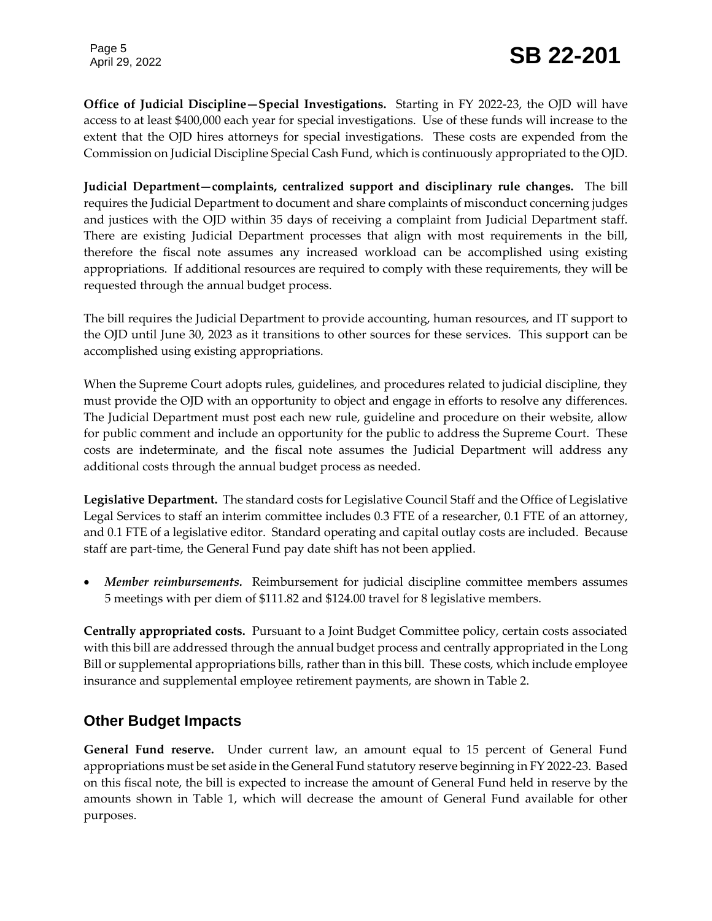Page 5

**Office of Judicial Discipline—Special Investigations.** Starting in FY 2022-23, the OJD will have access to at least \$400,000 each year for special investigations. Use of these funds will increase to the extent that the OJD hires attorneys for special investigations. These costs are expended from the Commission on Judicial Discipline Special Cash Fund, which is continuously appropriated to the OJD.

**Judicial Department—complaints, centralized support and disciplinary rule changes.** The bill requires the Judicial Department to document and share complaints of misconduct concerning judges and justices with the OJD within 35 days of receiving a complaint from Judicial Department staff. There are existing Judicial Department processes that align with most requirements in the bill, therefore the fiscal note assumes any increased workload can be accomplished using existing appropriations. If additional resources are required to comply with these requirements, they will be requested through the annual budget process.

The bill requires the Judicial Department to provide accounting, human resources, and IT support to the OJD until June 30, 2023 as it transitions to other sources for these services. This support can be accomplished using existing appropriations.

When the Supreme Court adopts rules, guidelines, and procedures related to judicial discipline, they must provide the OJD with an opportunity to object and engage in efforts to resolve any differences. The Judicial Department must post each new rule, guideline and procedure on their website, allow for public comment and include an opportunity for the public to address the Supreme Court. These costs are indeterminate, and the fiscal note assumes the Judicial Department will address any additional costs through the annual budget process as needed.

**Legislative Department.** The standard costs for Legislative Council Staff and the Office of Legislative Legal Services to staff an interim committee includes 0.3 FTE of a researcher, 0.1 FTE of an attorney, and 0.1 FTE of a legislative editor. Standard operating and capital outlay costs are included. Because staff are part-time, the General Fund pay date shift has not been applied.

• Member reimbursements. Reimbursement for judicial discipline committee members assumes 5 meetings with per diem of \$111.82 and \$124.00 travel for 8 legislative members.

**Centrally appropriated costs.** Pursuant to a Joint Budget Committee policy, certain costs associated with this bill are addressed through the annual budget process and centrally appropriated in the Long Bill or supplemental appropriations bills, rather than in this bill. These costs, which include employee insurance and supplemental employee retirement payments, are shown in Table 2.

#### **Other Budget Impacts**

**General Fund reserve.** Under current law, an amount equal to 15 percent of General Fund appropriations must be set aside in the General Fund statutory reserve beginning in FY 2022-23. Based on this fiscal note, the bill is expected to increase the amount of General Fund held in reserve by the amounts shown in Table 1, which will decrease the amount of General Fund available for other purposes.